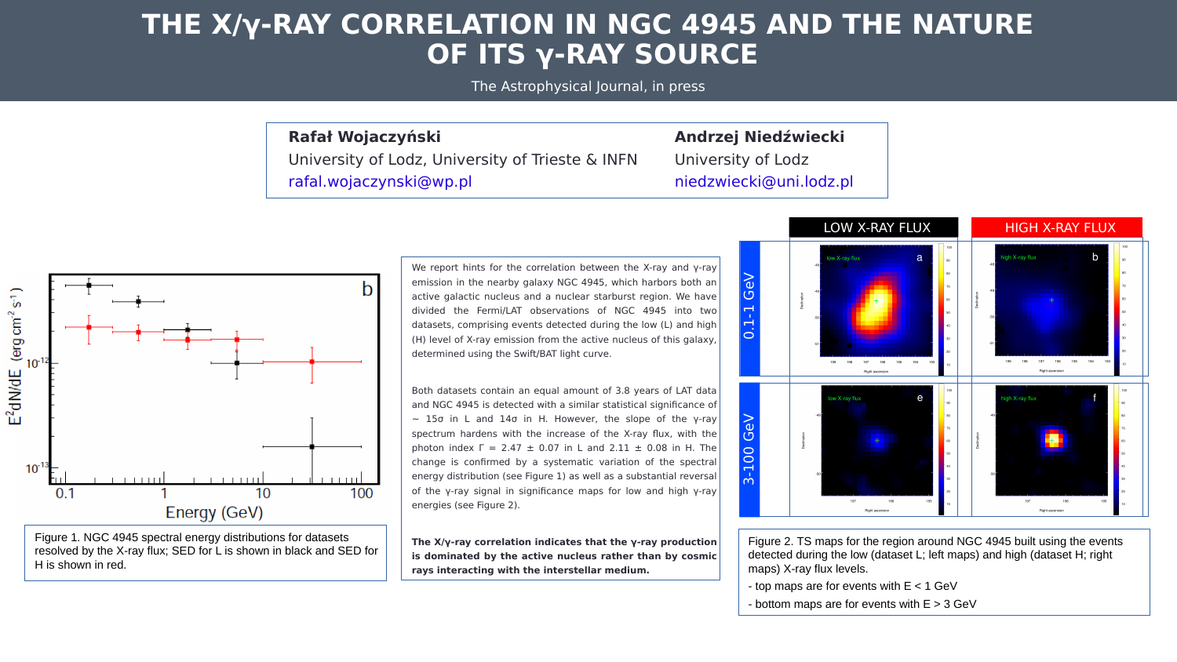We report hints for the correlation between the X-ray and  $\gamma$ -ray emission in the nearby galaxy NGC 4945, which harbors both an active galactic nucleus and a nuclear starburst region. We have divided the Fermi/LAT observations of NGC 4945 into two datasets, comprising events detected during the low (L) and high (H) level of X-ray emission from the active nucleus of this galaxy,  $\vert$ determined using the Swift/BAT light curve.

# **THE X/γ-RAY CORRELATION IN NGC 4945 AND THE NATURE OF ITS γ-RAY SOURCE**

Both datasets contain an equal amount of 3.8 years of LAT data and NGC 4945 is detected with a similar statistical significance of  $~\sim$  15σ in L and 14σ in H. However, the slope of the γ-ray spectrum hardens with the increase of the X-ray flux, with the photon index  $\Gamma = 2.47 \pm 0.07$  in L and  $2.11 \pm 0.08$  in H. The change is confirmed by a systematic variation of the spectral energy distribution (see Figure 1) as well as a substantial reversal of the γ-ray signal in significance maps for low and high γ-ray energies (see Figure 2).

**The X/γ-ray correlation indicates that the γ-ray production is dominated by the active nucleus rather than by cosmic rays interacting with the interstellar medium.**

#### **Rafał Wojaczyński Andrzej Niedźwiecki**



H is shown in red.

The Astrophysical Journal, in press

University of Lodz, University of Trieste & INFN University of Lodz [rafal.wojaczynski@wp.pl](mailto:rafal.wojaczynski@wp.pl) hiedzwiecki@uni.lodz.pl



Figure 2. TS maps for the region around NGC 4945 built using the events detected during the low (dataset L; left maps) and high (dataset H; right maps) X-ray flux levels.

- top maps are for events with  $E < 1$  GeV
- bottom maps are for events with  $E > 3$  GeV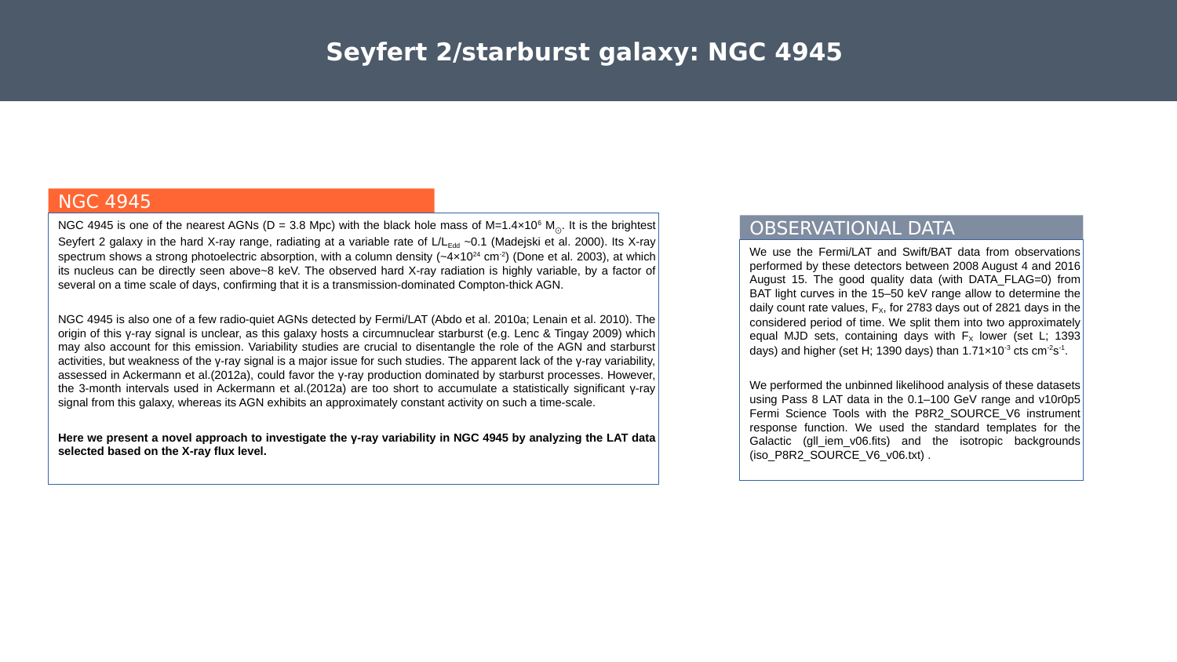NGC 4945 is one of the nearest AGNs (D = 3.8 Mpc) with the black hole mass of M=1.4×10 $^{\circ}$  M $_{\odot}.$  It is the brightest $|$ Seyfert 2 galaxy in the hard X-ray range, radiating at a variable rate of L/L<sub>Edd</sub> ~0.1 (Madejski et al. 2000). Its X-ray spectrum shows a strong photoelectric absorption, with a column density (~4×10<sup>24</sup> cm<sup>-2</sup>) (Done et al. 2003), at which its nucleus can be directly seen above~8 keV. The observed hard X-ray radiation is highly variable, by a factor of several on a time scale of days, confirming that it is a transmission-dominated Compton-thick AGN.

# **Seyfert 2/starburst galaxy: NGC 4945**

## NGC 4945

NGC 4945 is also one of a few radio-quiet AGNs detected by Fermi/LAT (Abdo et al. 2010a; Lenain et al. 2010). The origin of this γ-ray signal is unclear, as this galaxy hosts a circumnuclear starburst (e.g. Lenc & Tingay 2009) which may also account for this emission. Variability studies are crucial to disentangle the role of the AGN and starburst activities, but weakness of the γ-ray signal is a major issue for such studies. The apparent lack of the γ-ray variability, assessed in Ackermann et al.(2012a), could favor the γ-ray production dominated by starburst processes. However, the 3-month intervals used in Ackermann et al.(2012a) are too short to accumulate a statistically significant γ-ray signal from this galaxy, whereas its AGN exhibits an approximately constant activity on such a time-scale.

#### **Here we present a novel approach to investigate the γ-ray variability in NGC 4945 by analyzing the LAT data selected based on the X-ray flux level.**

## OBSERVATIONAL DATA

We use the Fermi/LAT and Swift/BAT data from observations performed by these detectors between 2008 August 4 and 2016 August 15. The good quality data (with DATA FLAG=0) from BAT light curves in the 15–50 keV range allow to determine the daily count rate values,  $F_x$ , for 2783 days out of 2821 days in the considered period of time. We split them into two approximately equal MJD sets, containing days with  $F_x$  lower (set L; 1393) days) and higher (set H; 1390 days) than  $1.71\times10^{-3}$  cts cm<sup>-2</sup>s<sup>-1</sup>.

We performed the unbinned likelihood analysis of these datasets using Pass 8 LAT data in the 0.1–100 GeV range and v10r0p5 Fermi Science Tools with the P8R2 SOURCE V6 instrument response function. We used the standard templates for the Galactic (gll\_iem\_v06.fits) and the isotropic backgrounds (iso\_P8R2\_SOURCE\_V6\_v06.txt).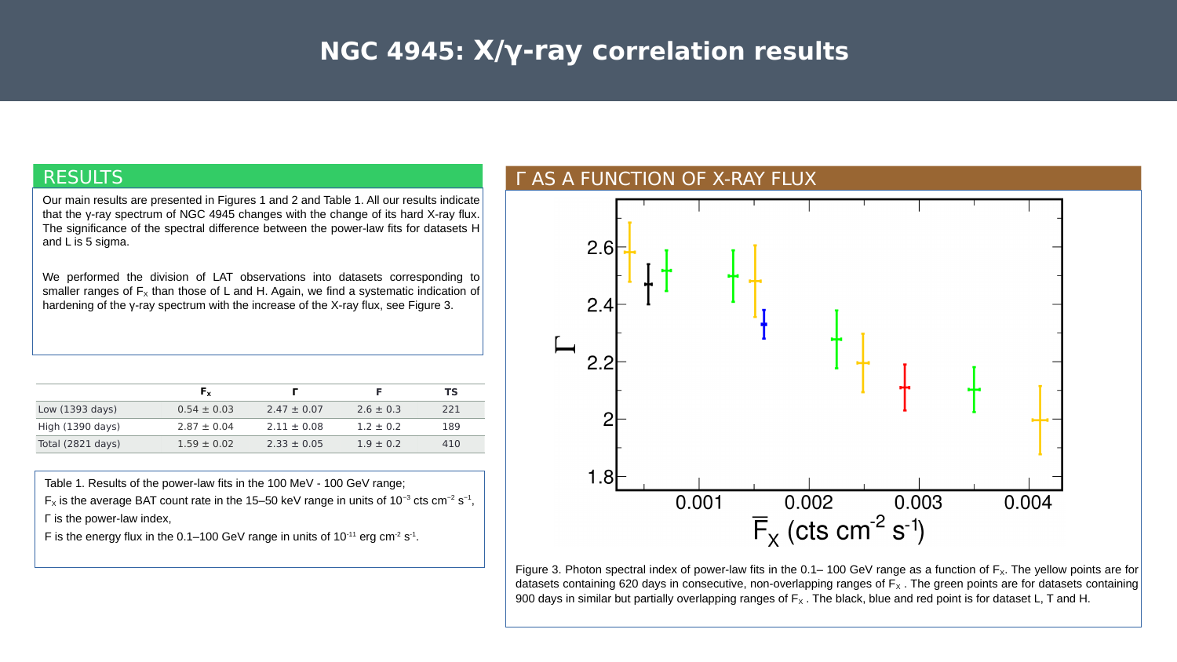Our main results are presented in Figures 1 and 2 and Table 1. All our results indicate that the y-ray spectrum of NGC 4945 changes with the change of its hard X-ray flux. The significance of the spectral difference between the power-law fits for datasets H and L is 5 sigma.

We performed the division of LAT observations into datasets corresponding to smaller ranges of  $F_x$  than those of L and H. Again, we find a systematic indication of hardening of the γ-ray spectrum with the increase of the X-ray flux, see Figure 3.

# **NGC 4945: X/γ-ray correlation results**

## RESULTS



datasets containing 620 days in consecutive, non-overlapping ranges of  $F_x$  . The green points are for datasets containing 900 days in similar but partially overlapping ranges of  $F_x$ . The black, blue and red point is for dataset L, T and H.

|                           | $F_{x}$         |                 |               | <b>TS</b> |
|---------------------------|-----------------|-----------------|---------------|-----------|
| Low $(1393 \text{ days})$ | $0.54 \pm 0.03$ | $2.47 \pm 0.07$ | $2.6 \pm 0.3$ | 221       |
| High (1390 days)          | $2.87 \pm 0.04$ | $2.11 \pm 0.08$ | $1.2 \pm 0.2$ | 189       |
| Total (2821 days)         | $1.59 \pm 0.02$ | $2.33 \pm 0.05$ | $1.9 \pm 0.2$ | 410       |

Table 1. Results of the power-law fits in the 100 MeV - 100 GeV range;  $F_x$  is the average BAT count rate in the 15–50 keV range in units of 10<sup>-3</sup> cts cm<sup>-2</sup> s<sup>-1</sup>, Γ is the power-law index,

F is the energy flux in the  $0.1$ –100 GeV range in units of  $10^{-11}$  erg cm<sup>-2</sup> s<sup>-1</sup>.